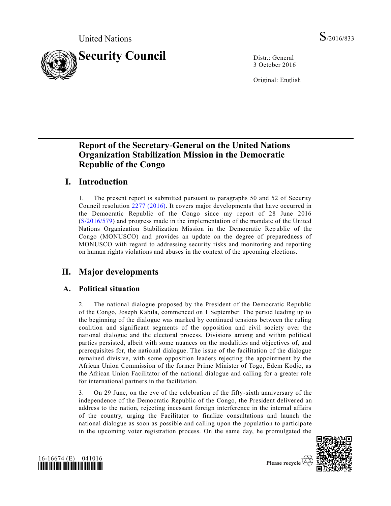

3 October 2016

Original: English

# **Report of the Secretary-General on the United Nations Organization Stabilization Mission in the Democratic Republic of the Congo**

# **I. Introduction**

1. The present report is submitted pursuant to paragraphs 50 and 52 of Security Council resolution [2277 \(2016\).](http://undocs.org/S/RES/2277(2016)) It covers major developments that have occurred in the Democratic Republic of the Congo since my report of 28 June 2016 [\(S/2016/579\)](http://undocs.org/S/2016/579) and progress made in the implementation of the mandate of the United Nations Organization Stabilization Mission in the Democratic Republic of the Congo (MONUSCO) and provides an update on the degree of preparedness of MONUSCO with regard to addressing security risks and monitoring and reporting on human rights violations and abuses in the context of the upcoming elections.

# **II. Major developments**

## **A. Political situation**

2. The national dialogue proposed by the President of the Democratic Republic of the Congo, Joseph Kabila, commenced on 1 September. The period leading up to the beginning of the dialogue was marked by continued tensions between the ruling coalition and significant segments of the opposition and civil society over the national dialogue and the electoral process. Divisions among and within political parties persisted, albeit with some nuances on the modalities and objectives of, and prerequisites for, the national dialogue. The issue of the facilitation of the dialogue remained divisive, with some opposition leaders rejecting the appointment by the African Union Commission of the former Prime Minister of Togo, Edem Kodjo, as the African Union Facilitator of the national dialogue and calling for a greater role for international partners in the facilitation.

3. On 29 June, on the eve of the celebration of the fifty-sixth anniversary of the independence of the Democratic Republic of the Congo, the President deliver ed an address to the nation, rejecting incessant foreign interference in the internal affairs of the country, urging the Facilitator to finalize consultations and launch the national dialogue as soon as possible and calling upon the population to participa te in the upcoming voter registration process. On the same day, he promulgated the



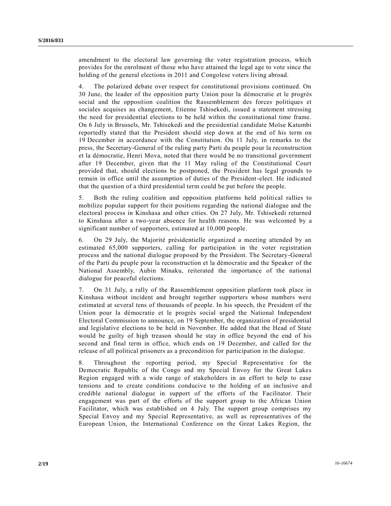amendment to the electoral law governing the voter registration process, which provides for the enrolment of those who have attained the legal age to vote since the holding of the general elections in 2011 and Congolese voters living abroad.

4. The polarized debate over respect for constitutional provisions continued. On 30 June, the leader of the opposition party Union pour la démocratie et le progrès social and the opposition coalition the Rassemblement des forces politiques et sociales acquises au changement, Etienne Tshisekedi, issued a statement stressing the need for presidential elections to be held within the constitutional time frame. On 6 July in Brussels, Mr. Tshisekedi and the presidential candidate Moïse Katumbi reportedly stated that the President should step down at the end of his term on 19 December in accordance with the Constitution. On 11 July, in remarks to the press, the Secretary-General of the ruling party Parti du peuple pour la reconstruction et la démocratie, Henri Mova, noted that there would be no transitional government after 19 December, given that the 11 May ruling of the Constitutional Court provided that, should elections be postponed, the President has legal grounds to remain in office until the assumption of duties of the President-elect. He indicated that the question of a third presidential term could be put before the people.

5. Both the ruling coalition and opposition platforms held political rallies to mobilize popular support for their positions regarding the national dialogue and the electoral process in Kinshasa and other cities. On 27 July, Mr. Tshisekedi returned to Kinshasa after a two-year absence for health reasons. He was welcomed by a significant number of supporters, estimated at 10,000 people.

6. On 29 July, the Majorité présidentielle organized a meeting attended by an estimated 65,000 supporters, calling for participation in the voter registration process and the national dialogue proposed by the President. The Secretary-General of the Parti du peuple pour la reconstruction et la démocratie and the Speaker of the National Assembly, Aubin Minaku, reiterated the importance of the national dialogue for peaceful elections.

7. On 31 July, a rally of the Rassemblement opposition platform took place in Kinshasa without incident and brought together supporters whose numbers were estimated at several tens of thousands of people. In his speech, the President of the Union pour la démocratie et le progrès social urged the National Independent Electoral Commission to announce, on 19 September, the organization of presidential and legislative elections to be held in November. He added that the Head of State would be guilty of high treason should he stay in office beyond the end of his second and final term in office, which ends on 19 December, and called for the release of all political prisoners as a precondition for participation in the dialogue.

8. Throughout the reporting period, my Special Representative for the Democratic Republic of the Congo and my Special Envoy for the Great Lakes Region engaged with a wide range of stakeholders in an effort to help to ease tensions and to create conditions conducive to the holding of an inclusive and credible national dialogue in support of the efforts of the Facilitator. Their engagement was part of the efforts of the support group to the African Union Facilitator, which was established on 4 July. The support group comprises my Special Envoy and my Special Representative, as well as representatives of the European Union, the International Conference on the Great Lakes Region, the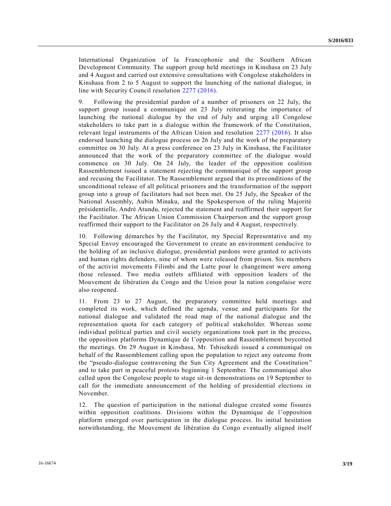International Organization of la Francophonie and the Southern African Development Community. The support group held meetings in Kinshasa on 23 July and 4 August and carried out extensive consultations with Congolese stakeholders in Kinshasa from 2 to 5 August to support the launching of the national dialogue, in line with Security Council resolution [2277 \(2016\).](http://undocs.org/S/RES/2277(2016))

9. Following the presidential pardon of a number of prisoners on 22 July, the support group issued a communiqué on 23 July reiterating the importance of launching the national dialogue by the end of July and urging all Congolese stakeholders to take part in a dialogue within the framework of the Constitution, relevant legal instruments of the African Union and resolution [2277 \(2016\).](http://undocs.org/S/RES/2277(2016)) It also endorsed launching the dialogue process on 26 July and the work of the preparatory committee on 30 July. At a press conference on 23 July in Kinshasa, the Facilitator announced that the work of the preparatory committee of the dialogue would commence on 30 July. On 24 July, the leader of the opposition coalition Rassemblement issued a statement rejecting the communiqué of the support group and recusing the Facilitator. The Rassemblement argued that its preconditions of the unconditional release of all political prisoners and the transformation of the support group into a group of facilitators had not been met. On 25 July, the Speaker of the National Assembly, Aubin Minaku, and the Spokesperson of the ruling Majorité présidentielle, André Atundu, rejected the statement and reaffirmed their support for the Facilitator. The African Union Commission Chairperson and the support group reaffirmed their support to the Facilitator on 26 July and 4 August, respectively.

10. Following démarches by the Facilitator, my Special Representative and my Special Envoy encouraged the Government to create an environment conducive to the holding of an inclusive dialogue, presidential pardons were granted to activists and human rights defenders, nine of whom were released from prison. Six members of the activist movements Filimbi and the Lutte pour le changement were among those released. Two media outlets affiliated with opposition leaders of the Mouvement de libération du Congo and the Union pour la nation congolaise were also reopened.

11. From 23 to 27 August, the preparatory committee held meetings and completed its work, which defined the agenda, venue and participants for the national dialogue and validated the road map of the national dialogue and the representation quota for each category of political stakeholder. Whereas some individual political parties and civil society organizations took part in the process, the opposition platforms Dynamique de l'opposition and Rassemblement boycotted the meetings. On 29 August in Kinshasa, Mr. Tshisekedi issued a communiqué on behalf of the Rassemblement calling upon the population to reject any outcome from the "pseudo-dialogue contravening the Sun City Agreement and the Constitution" and to take part in peaceful protests beginning 1 September. The communiqué also called upon the Congolese people to stage sit-in demonstrations on 19 September to call for the immediate announcement of the holding of presidential elections in November.

12. The question of participation in the national dialogue created some fissures within opposition coalitions. Divisions within the Dynamique de l'opposition platform emerged over participation in the dialogue process. Its initial hesitation notwithstanding, the Mouvement de libération du Congo eventually aligned itself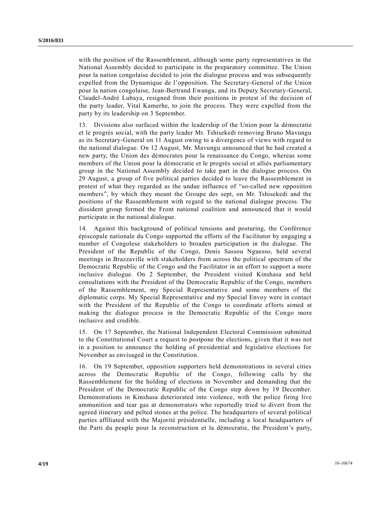with the position of the Rassemblement, although some party representatives in the National Assembly decided to participate in the preparatory committee. The Union pour la nation congolaise decided to join the dialogue process and was subsequently expelled from the Dynamique de l'opposition. The Secretary-General of the Union pour la nation congolaise, Jean-Bertrand Ewanga, and its Deputy Secretary-General, Claudel-André Lubaya, resigned from their positions in protest of the decision of the party leader, Vital Kamerhe, to join the process. They were expelled from the party by its leadership on 3 September.

13. Divisions also surfaced within the leadership of the Union pour la démocratie et le progrès social, with the party leader Mr. Tshisekedi removing Bruno Mavungu as its Secretary-General on 11 August owing to a divergence of views with regard to the national dialogue. On 12 August, Mr. Mavungu announced that he had created a new party, the Union des démocrates pour la renaissance du Congo, whereas some members of the Union pour la démocratie et le progrès social et alliés parliamentary group in the National Assembly decided to take part in the dialogue process. On 29 August, a group of five political parties decided to leave the Rassemblement in protest of what they regarded as the undue influence of "so-called new opposition members", by which they meant the Groupe des sept, on Mr. Tshisekedi and the positions of the Rassemblement with regard to the national dialogue process. The dissident group formed the Front national coalition and announced that it would participate in the national dialogue.

14. Against this background of political tensions and posturing, the Conférence épiscopale nationale du Congo supported the efforts of the Facilitator by engaging a number of Congolese stakeholders to broaden participation in the dialogue. The President of the Republic of the Congo, Denis Sassou Nguesso, held several meetings in Brazzaville with stakeholders from across the political spectrum of the Democratic Republic of the Congo and the Facilitator in an effort to support a more inclusive dialogue. On 2 September, the President visited Kinshasa and held consultations with the President of the Democratic Republic of the Congo, members of the Rassemblement, my Special Representative and some members of the diplomatic corps. My Special Representative and my Special Envoy were in contact with the President of the Republic of the Congo to coordinate efforts aimed at making the dialogue process in the Democratic Republic of the Congo more inclusive and credible.

15. On 17 September, the National Independent Electoral Commission submitted to the Constitutional Court a request to postpone the elections, given that it was not in a position to announce the holding of presidential and legislative elections for November as envisaged in the Constitution.

16. On 19 September, opposition supporters held demonstrations in several cities across the Democratic Republic of the Congo, following calls by the Rassemblement for the holding of elections in November and demanding that the President of the Democratic Republic of the Congo step down by 19 December. Demonstrations in Kinshasa deteriorated into violence, with the police firing live ammunition and tear gas at demonstrators who reportedly tried to divert from the agreed itinerary and pelted stones at the police. The headquarters of several political parties affiliated with the Majorité présidentielle, including a local headquarters of the Parti du peuple pour la reconstruction et la démocratie, the President's party,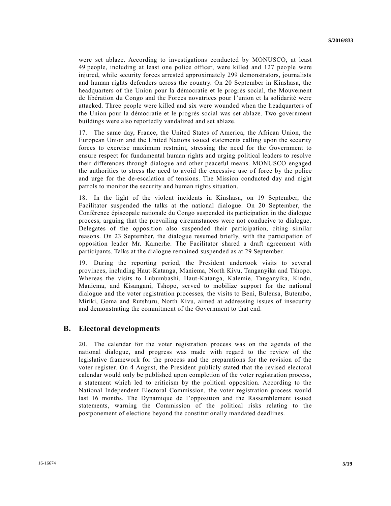were set ablaze. According to investigations conducted by MONUSCO, at least 49 people, including at least one police officer, were killed and 127 people were injured, while security forces arrested approximately 299 demonstrators, journalists and human rights defenders across the country. On 20 September in Kinshasa, the headquarters of the Union pour la démocratie et le progrès social, the Mouvement de libération du Congo and the Forces novatrices pour l'union et la solidarité were attacked. Three people were killed and six were wounded when the headquarters of the Union pour la démocratie et le progrès social was set ablaze. Two government buildings were also reportedly vandalized and set ablaze.

17. The same day, France, the United States of America, the African Union, the European Union and the United Nations issued statements calling upon the security forces to exercise maximum restraint, stressing the need for the Government to ensure respect for fundamental human rights and urging political leaders to resolve their differences through dialogue and other peaceful means. MONUSCO engaged the authorities to stress the need to avoid the excessive use of force by the police and urge for the de-escalation of tensions. The Mission conducted day and night patrols to monitor the security and human rights situation.

18. In the light of the violent incidents in Kinshasa, on 19 September, the Facilitator suspended the talks at the national dialogue. On 20 September, the Conférence épiscopale nationale du Congo suspended its participation in the dialogue process, arguing that the prevailing circumstances were not conducive to dialogue. Delegates of the opposition also suspended their participation, citing similar reasons. On 23 September, the dialogue resumed briefly, with the participation of opposition leader Mr. Kamerhe. The Facilitator shared a draft agreement with participants. Talks at the dialogue remained suspended as at 29 September.

19. During the reporting period, the President undertook visits to several provinces, including Haut-Katanga, Maniema, North Kivu, Tanganyika and Tshopo. Whereas the visits to Lubumbashi, Haut-Katanga, Kalemie, Tanganyika, Kindu, Maniema, and Kisangani, Tshopo, served to mobilize support for the national dialogue and the voter registration processes, the visits to Beni, Buleusa, Butembo, Miriki, Goma and Rutshuru, North Kivu, aimed at addressing issues of insecurity and demonstrating the commitment of the Government to that end.

#### **B. Electoral developments**

20. The calendar for the voter registration process was on the agenda of the national dialogue, and progress was made with regard to the review of the legislative framework for the process and the preparations for the revision of the voter register. On 4 August, the President publicly stated that the revised electoral calendar would only be published upon completion of the voter registration process, a statement which led to criticism by the political opposition. According to the National Independent Electoral Commission, the voter registration process would last 16 months. The Dynamique de l'opposition and the Rassemblement issued statements, warning the Commission of the political risks relating to the postponement of elections beyond the constitutionally mandated deadlines.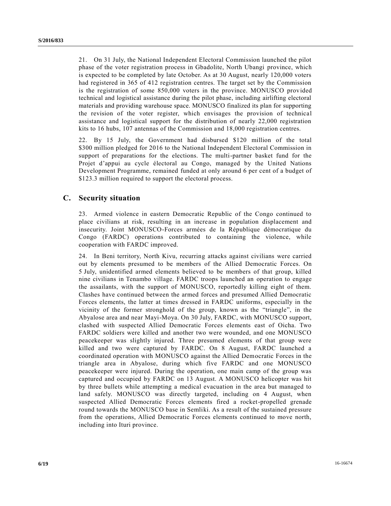21. On 31 July, the National Independent Electoral Commission launched the pilot phase of the voter registration process in Gbadolite, North Ubangi province, which is expected to be completed by late October. As at 30 August, nearly 120,000 voters had registered in 365 of 412 registration centres. The target set by the Commission is the registration of some 850,000 voters in the province. MONUSCO provided technical and logistical assistance during the pilot phase, including airlifting electoral materials and providing warehouse space. MONUSCO finalized its plan for supporting the revision of the voter register, which envisages the provision of technical assistance and logistical support for the distribution of nearly 22,000 registration kits to 16 hubs, 107 antennas of the Commission and 18,000 registration centres.

22. By 15 July, the Government had disbursed \$120 million of the total \$300 million pledged for 2016 to the National Independent Electoral Commission in support of preparations for the elections. The multi-partner basket fund for the Projet d'appui au cycle électoral au Congo, managed by the United Nations Development Programme, remained funded at only around 6 per cent of a budget of \$123.3 million required to support the electoral process.

## **C. Security situation**

23. Armed violence in eastern Democratic Republic of the Congo continued to place civilians at risk, resulting in an increase in population displacement and insecurity. Joint MONUSCO-Forces armées de la République démocratique du Congo (FARDC) operations contributed to containing the violence, while cooperation with FARDC improved.

24. In Beni territory, North Kivu, recurring attacks against civilians were carried out by elements presumed to be members of the Allied Democratic Forces. On 5 July, unidentified armed elements believed to be members of that group, killed nine civilians in Tenambo village. FARDC troops launched an operation to engage the assailants, with the support of MONUSCO, reportedly killing eight of them. Clashes have continued between the armed forces and presumed Allied Democratic Forces elements, the latter at times dressed in FARDC uniforms, especially in the vicinity of the former stronghold of the group, known as the "triangle", in the Abyalose area and near Mayi-Moya. On 30 July, FARDC, with MONUSCO support, clashed with suspected Allied Democratic Forces elements east of Oicha. Two FARDC soldiers were killed and another two were wounded, and one MONUSCO peacekeeper was slightly injured. Three presumed elements of that group were killed and two were captured by FARDC. On 8 August, FARDC launched a coordinated operation with MONUSCO against the Allied Democratic Forces in the triangle area in Abyalose, during which five FARDC and one MONUSCO peacekeeper were injured. During the operation, one main camp of the group was captured and occupied by FARDC on 13 August. A MONUSCO helicopter was hit by three bullets while attempting a medical evacuation in the area but managed to land safely. MONUSCO was directly targeted, including on 4 August, when suspected Allied Democratic Forces elements fired a rocket-propelled grenade round towards the MONUSCO base in Semliki. As a result of the sustained pressure from the operations, Allied Democratic Forces elements continued to move north, including into Ituri province.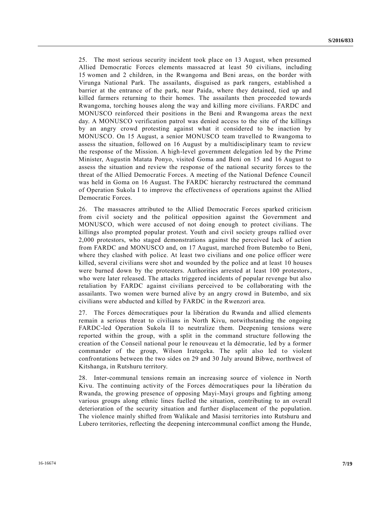25. The most serious security incident took place on 13 August, when presumed Allied Democratic Forces elements massacred at least 50 civilians, including 15 women and 2 children, in the Rwangoma and Beni areas, on the border with Virunga National Park. The assailants, disguised as park rangers, established a barrier at the entrance of the park, near Paida, where they detained, tied up and killed farmers returning to their homes. The assailants then proceeded towards Rwangoma, torching houses along the way and killing more civilians. FARDC and MONUSCO reinforced their positions in the Beni and Rwangoma areas the next day. A MONUSCO verification patrol was denied access to the site of the killings by an angry crowd protesting against what it considered to be inaction by MONUSCO. On 15 August, a senior MONUSCO team travelled to Rwangoma to assess the situation, followed on 16 August by a multidisciplinary team to review the response of the Mission. A high-level government delegation led by the Prime Minister, Augustin Matata Ponyo, visited Goma and Beni on 15 and 16 August to assess the situation and review the response of the national security forces to the threat of the Allied Democratic Forces. A meeting of the National Defence Council was held in Goma on 16 August. The FARDC hierarchy restructured the command of Operation Sukola I to improve the effectiveness of operations against the Allied Democratic Forces.

26. The massacres attributed to the Allied Democratic Forces sparked criticism from civil society and the political opposition against the Government and MONUSCO, which were accused of not doing enough to protect civilians. The killings also prompted popular protest. Youth and civil society groups rallied over 2,000 protestors, who staged demonstrations against the perceived lack of action from FARDC and MONUSCO and, on 17 August, marched from Butembo to Beni, where they clashed with police. At least two civilians and one police officer were killed, several civilians were shot and wounded by the police and at least 10 houses were burned down by the protesters. Authorities arrested at least 100 protestors, who were later released. The attacks triggered incidents of popular revenge but also retaliation by FARDC against civilians perceived to be collaborating with the assailants. Two women were burned alive by an angry crowd in Butembo, and six civilians were abducted and killed by FARDC in the Rwenzori area.

27. The Forces démocratiques pour la libération du Rwanda and allied elements remain a serious threat to civilians in North Kivu, notwithstanding the ongoing FARDC-led Operation Sukola II to neutralize them. Deepening tensions were reported within the group, with a split in the command structure following the creation of the Conseil national pour le renouveau et la démocratie, led by a former commander of the group, Wilson Irategeka. The split also led to violent confrontations between the two sides on 29 and 30 July around Bibwe, northwest of Kitshanga, in Rutshuru territory.

28. Inter-communal tensions remain an increasing source of violence in North Kivu. The continuing activity of the Forces démocratiques pour la libération du Rwanda, the growing presence of opposing Mayi-Mayi groups and fighting among various groups along ethnic lines fuelled the situation, contributing to an overall deterioration of the security situation and further displacement of the population. The violence mainly shifted from Walikale and Masisi territories into Rutshuru and Lubero territories, reflecting the deepening intercommunal conflict among the Hunde,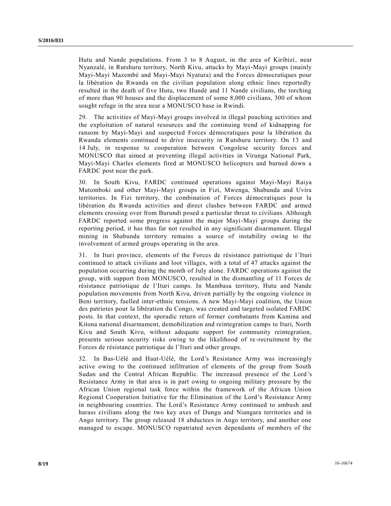Hutu and Nande populations. From 3 to 8 August, in the area of Kiribizi, near Nyanzalé, in Rutshuru territory, North Kivu, attacks by Mayi-Mayi groups (mainly Mayi-Mayi Mazembé and Mayi-Mayi Nyatura) and the Forces démocratiques pour la libération du Rwanda on the civilian population along ethnic lines reportedly resulted in the death of five Hutu, two Hundé and 11 Nande civilians, the torching of more than 90 houses and the displacement of some 8,000 civilians, 300 of whom sought refuge in the area near a MONUSCO base in Rwindi.

29. The activities of Mayi-Mayi groups involved in illegal poaching activities and the exploitation of natural resources and the continuing trend of kidnapping for ransom by Mayi-Mayi and suspected Forces démocratiques pour la libération du Rwanda elements continued to drive insecurity in Rutshuru territory. On 13 and 14 July, in response to cooperation between Congolese security forces and MONUSCO that aimed at preventing illegal activities in Virunga National Park, Mayi-Mayi Charles elements fired at MONUSCO helicopters and burned down a FARDC post near the park.

30. In South Kivu, FARDC continued operations against Mayi-Mayi Raiya Mutomboki and other Mayi-Mayi groups in Fizi, Mwenga, Shabunda and Uvira territories. In Fizi territory, the combination of Forces démocratiques pour la libération du Rwanda activities and direct clashes between FARDC and armed elements crossing over from Burundi posed a particular threat to civilians. Although FARDC reported some progress against the major Mayi-Mayi groups during the reporting period, it has thus far not resulted in any significant disarmament. Illegal mining in Shabunda territory remains a source of instability owing to the involvement of armed groups operating in the area.

31. In Ituri province, elements of the Forces de résistance patriotique de l'Ituri continued to attack civilians and loot villages, with a total of 47 attacks against the population occurring during the month of July alone. FARDC operations against the group, with support from MONUSCO, resulted in the dismantling of 11 Forces de résistance patriotique de l'Ituri camps. In Mambasa territory, Hutu and Nande population movements from North Kivu, driven partially by the ongoing violence in Beni territory, fuelled inter-ethnic tensions. A new Mayi-Mayi coalition, the Union des patriotes pour la libération du Congo, was created and targeted isolated FARDC posts. In that context, the sporadic return of former combatants from Kamina and Kitona national disarmament, demobilization and reintegration camps to Ituri, North Kivu and South Kivu, without adequate support for community reintegration, presents serious security risks owing to the likelihood of re-recruitment by the Forces de résistance patriotique de l'Ituri and other groups.

32. In Bas-Uélé and Haut-Uélé, the Lord's Resistance Army was increasingly active owing to the continued infiltration of elements of the group from South Sudan and the Central African Republic. The increased presence of the Lord 's Resistance Army in that area is in part owing to ongoing military pressure by the African Union regional task force within the framework of the African Union Regional Cooperation Initiative for the Elimination of the Lord's Resistance Army in neighbouring countries. The Lord's Resistance Army continued to ambush and harass civilians along the two key axes of Dungu and Niangara territories and in Ango territory. The group released 18 abductees in Ango territory, and another one managed to escape. MONUSCO repatriated seven dependants of members of the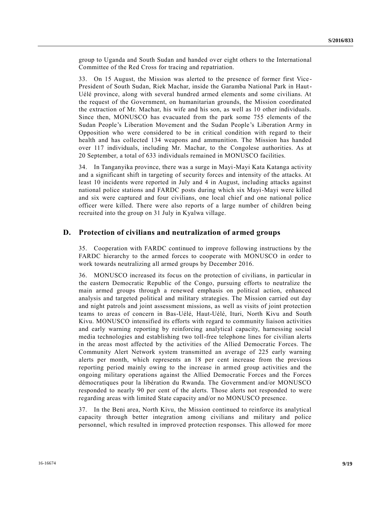group to Uganda and South Sudan and handed over eight others to the International Committee of the Red Cross for tracing and repatriation.

33. On 15 August, the Mission was alerted to the presence of former first Vice - President of South Sudan, Riek Machar, inside the Garamba National Park in Haut-Uélé province, along with several hundred armed elements and some civilians. At the request of the Government, on humanitarian grounds, the Mission coordinated the extraction of Mr. Machar, his wife and his son, as well as 10 other individuals. Since then, MONUSCO has evacuated from the park some 755 elements of the Sudan People's Liberation Movement and the Sudan People's Liberation Army in Opposition who were considered to be in critical condition with regard to their health and has collected 134 weapons and ammunition. The Mission has handed over 117 individuals, including Mr. Machar, to the Congolese authorities. As at 20 September, a total of 633 individuals remained in MONUSCO facilities.

34. In Tanganyika province, there was a surge in Mayi-Mayi Kata Katanga activity and a significant shift in targeting of security forces and intensity of the attacks. At least 10 incidents were reported in July and 4 in August, including attacks against national police stations and FARDC posts during which six Mayi-Mayi were killed and six were captured and four civilians, one local chief and one national police officer were killed. There were also reports of a large number of children being recruited into the group on 31 July in Kyalwa village.

#### **D. Protection of civilians and neutralization of armed groups**

35. Cooperation with FARDC continued to improve following instructions by the FARDC hierarchy to the armed forces to cooperate with MONUSCO in order to work towards neutralizing all armed groups by December 2016.

36. MONUSCO increased its focus on the protection of civilians, in particular in the eastern Democratic Republic of the Congo, pursuing efforts to neutralize the main armed groups through a renewed emphasis on political action, enhanced analysis and targeted political and military strategies. The Mission carried out day and night patrols and joint assessment missions, as well as visits of joint protection teams to areas of concern in Bas-Uélé, Haut-Uélé, Ituri, North Kivu and South Kivu. MONUSCO intensified its efforts with regard to community liaison activities and early warning reporting by reinforcing analytical capacity, harnessing social media technologies and establishing two toll-free telephone lines for civilian alerts in the areas most affected by the activities of the Allied Democratic Forces. The Community Alert Network system transmitted an average of 225 early warning alerts per month, which represents an 18 per cent increase from the previous reporting period mainly owing to the increase in armed group activities and the ongoing military operations against the Allied Democratic Forces and the Forces démocratiques pour la libération du Rwanda. The Government and/or MONUSCO responded to nearly 90 per cent of the alerts. Those alerts not responded to were regarding areas with limited State capacity and/or no MONUSCO presence.

37. In the Beni area, North Kivu, the Mission continued to reinforce its analytical capacity through better integration among civilians and military and police personnel, which resulted in improved protection responses. This allowed for more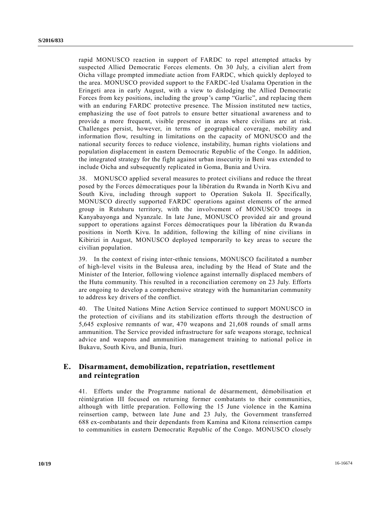rapid MONUSCO reaction in support of FARDC to repel attempted attacks by suspected Allied Democratic Forces elements. On 30 July, a civilian alert from Oicha village prompted immediate action from FARDC, which quickly deployed to the area. MONUSCO provided support to the FARDC-led Usalama Operation in the Eringeti area in early August, with a view to dislodging the Allied Democratic Forces from key positions, including the group's camp "Garlic", and replacing them with an enduring FARDC protective presence. The Mission instituted new tactics, emphasizing the use of foot patrols to ensure better situational awareness and to provide a more frequent, visible presence in areas where civilians are at risk. Challenges persist, however, in terms of geographical coverage, mobility and information flow, resulting in limitations on the capacity of MONUSCO and the national security forces to reduce violence, instability, human rights violations and population displacement in eastern Democratic Republic of the Congo. In addition, the integrated strategy for the fight against urban insecurity in Beni was extended to include Oicha and subsequently replicated in Goma, Bunia and Uvira.

38. MONUSCO applied several measures to protect civilians and reduce the threat posed by the Forces démocratiques pour la libération du Rwanda in North Kivu and South Kivu, including through support to Operation Sukola II. Specifically, MONUSCO directly supported FARDC operations against elements of the armed group in Rutshuru territory, with the involvement of MONUSCO troops in Kanyabayonga and Nyanzale. In late June, MONUSCO provided air and ground support to operations against Forces démocratiques pour la libération du Rwanda positions in North Kivu. In addition, following the killing of nine civilians in Kibirizi in August, MONUSCO deployed temporarily to key areas to secure the civilian population.

39. In the context of rising inter-ethnic tensions, MONUSCO facilitated a number of high-level visits in the Buleusa area, including by the Head of State and the Minister of the Interior, following violence against internally displaced members of the Hutu community. This resulted in a reconciliation ceremony on 23 July. Efforts are ongoing to develop a comprehensive strategy with the humanitarian community to address key drivers of the conflict.

40. The United Nations Mine Action Service continued to support MONUSCO in the protection of civilians and its stabilization efforts through the destruction of 5,645 explosive remnants of war, 470 weapons and 21,608 rounds of small arms ammunition. The Service provided infrastructure for safe weapons storage, technical advice and weapons and ammunition management training to national police in Bukavu, South Kivu, and Bunia, Ituri.

## **E. Disarmament, demobilization, repatriation, resettlement and reintegration**

41. Efforts under the Programme national de désarmement, démobilisation et réintégration III focused on returning former combatants to their communities, although with little preparation. Following the 15 June violence in the Kamina reinsertion camp, between late June and 23 July, the Government transferred 688 ex-combatants and their dependants from Kamina and Kitona reinsertion camps to communities in eastern Democratic Republic of the Congo. MONUSCO closely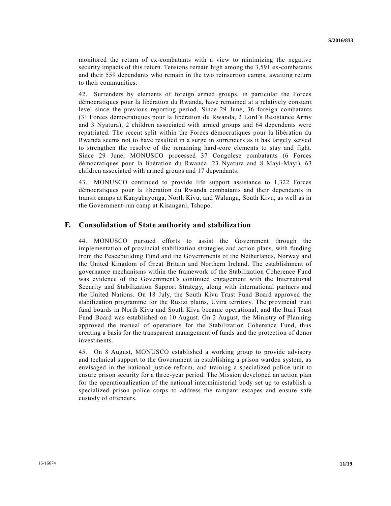monitored the return of ex-combatants with a view to minimizing the negative security impacts of this return. Tensions remain high among the 3,591 ex-combatants and their 559 dependants who remain in the two reinsertion camps, awaiting return to their communities.

42. Surrenders by elements of foreign armed groups, in particular the Forces démocratiques pour la libération du Rwanda, have remained at a relatively constan t level since the previous reporting period. Since 29 June, 36 foreign combatants (31 Forces démocratiques pour la libération du Rwanda, 2 Lord's Resistance Army and 3 Nyatura), 2 children associated with armed groups and 64 dependents were repatriated. The recent split within the Forces démocratiques pour la libération du Rwanda seems not to have resulted in a surge in surrenders as it has largely served to strengthen the resolve of the remaining hard-core elements to stay and fight. Since 29 June, MONUSCO processed 37 Congolese combatants (6 Forces démocratiques pour la libération du Rwanda, 23 Nyatura and 8 Mayi-Mayi), 63 children associated with armed groups and 17 dependants.

43. MONUSCO continued to provide life support assistance to 1,322 Forces démocratiques pour la libération du Rwanda combatants and their dependants in transit camps at Kanyabayonga, North Kivu, and Walungu, South Kivu, as well as in the Government-run camp at Kisangani, Tshopo.

#### **F. Consolidation of State authority and stabilization**

44. MONUSCO pursued efforts to assist the Government through the implementation of provincial stabilization strategies and action plans, with funding from the Peacebuilding Fund and the Governments of the Netherlands, Norway and the United Kingdom of Great Britain and Northern Ireland. The establishment of governance mechanisms within the framework of the Stabilization Coherence Fund was evidence of the Government's continued engagement with the International Security and Stabilization Support Strategy, along with international partners and the United Nations. On 18 July, the South Kivu Trust Fund Board approved the stabilization programme for the Rusizi plains, Uvira territory. The provincial trust fund boards in North Kivu and South Kivu became operational, and the Ituri Trust Fund Board was established on 10 August. On 2 August, the Ministry of Planning approved the manual of operations for the Stabilization Coherence Fund, thus creating a basis for the transparent management of funds and the protection of donor investments.

45. On 8 August, MONUSCO established a working group to provide advisory and technical support to the Government in establishing a prison warden system, as envisaged in the national justice reform, and training a specialized police unit to ensure prison security for a three-year period. The Mission developed an action plan for the operationalization of the national interministerial body set up to establish a specialized prison police corps to address the rampant escapes and ensure safe custody of offenders.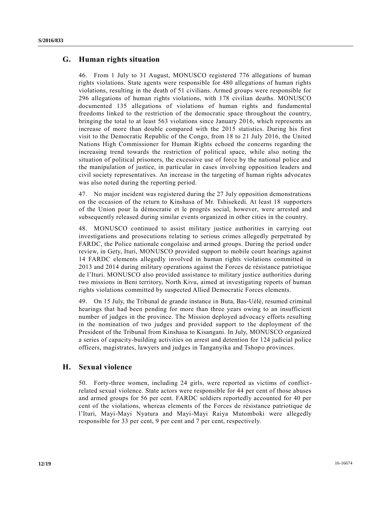### **G. Human rights situation**

46. From 1 July to 31 August, MONUSCO registered 776 allegations of human rights violations. State agents were responsible for 480 allegations of human rights violations, resulting in the death of 51 civilians. Armed groups were responsible for 296 allegations of human rights violations, with 178 civilian deaths. MONUSCO documented 135 allegations of violations of human rights and fundamental freedoms linked to the restriction of the democratic space throughout the country, bringing the total to at least 563 violations since January 2016, which represents an increase of more than double compared with the 2015 statistics. During his first visit to the Democratic Republic of the Congo, from 18 to 21 July 2016, the United Nations High Commissioner for Human Rights echoed the concerns regarding the increasing trend towards the restriction of political space, while also noting the situation of political prisoners, the excessive use of force by the national police and the manipulation of justice, in particular in cases involving opposition leaders and civil society representatives. An increase in the targeting of human rights advocates was also noted during the reporting period.

47. No major incident was registered during the 27 July opposition demonstrations on the occasion of the return to Kinshasa of Mr. Tshisekedi. At least 18 supporters of the Union pour la démocratie et le progrès social, however, were arrested and subsequently released during similar events organized in other cities in the country.

48. MONUSCO continued to assist military justice authorities in carrying out investigations and prosecutions relating to serious crimes allegedly perpetrated by FARDC, the Police nationale congolaise and armed groups. During the period under review, in Gety, Ituri, MONUSCO provided support to mobile court hearings against 14 FARDC elements allegedly involved in human rights violations committed in 2013 and 2014 during military operations against the Forces de résistance patriotique de l'Ituri. MONUSCO also provided assistance to military justice authorities during two missions in Beni territory, North Kivu, aimed at investigating reports of human rights violations committed by suspected Allied Democratic Forces elements.

49. On 15 July, the Tribunal de grande instance in Buta, Bas-Uélé, resumed criminal hearings that had been pending for more than three years owing to an insufficient number of judges in the province. The Mission deployed advocacy efforts resulting in the nomination of two judges and provided support to the deployment of the President of the Tribunal from Kinshasa to Kisangani. In July, MONUSCO organized a series of capacity-building activities on arrest and detention for 124 judicial police officers, magistrates, lawyers and judges in Tanganyika and Tshopo provinces.

### **H. Sexual violence**

50. Forty-three women, including 24 girls, were reported as victims of conflictrelated sexual violence. State actors were responsible for 44 per cent of those abuses and armed groups for 56 per cent. FARDC soldiers reportedly accounted for 40 per cent of the violations, whereas elements of the Forces de résistance patriotique de l'Ituri, Mayi-Mayi Nyatura and Mayi-Mayi Raiya Mutomboki were allegedly responsible for 33 per cent, 9 per cent and 7 per cent, respectively.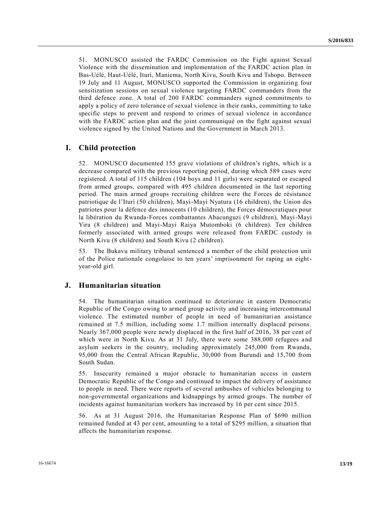51. MONUSCO assisted the FARDC Commission on the Fight against Sexual Violence with the dissemination and implementation of the FARDC action plan in Bas-Uélé, Haut-Uélé, Ituri, Maniema, North Kivu, South Kivu and Tshopo. Between 19 July and 11 August, MONUSCO supported the Commission in organizing four sensitization sessions on sexual violence targeting FARDC commanders from the third defence zone. A total of 200 FARDC commanders signed commitments to apply a policy of zero tolerance of sexual violence in their ranks, committing to take specific steps to prevent and respond to crimes of sexual violence in accordance with the FARDC action plan and the joint communiqué on the fight against sexual violence signed by the United Nations and the Government in March 2013.

#### **I. Child protection**

52. MONUSCO documented 155 grave violations of children's rights, which is a decrease compared with the previous reporting period, during which 589 cases were registered. A total of 115 children (104 boys and 11 girls) were separated or escaped from armed groups, compared with 495 children documented in the last reporting period. The main armed groups recruiting children were the Forces de résistance patriotique de l'Ituri (50 children), Mayi-Mayi Nyatura (16 children), the Union des patriotes pour la défence des innocents (10 children), the Forces démocratiques pour la libération du Rwanda-Forces combattantes Abacunguzi (9 children), Mayi-Mayi Yira (8 children) and Mayi-Mayi Raiya Mutomboki (6 children). Ten children formerly associated with armed groups were released from FARDC custody in North Kivu (8 children) and South Kivu (2 children).

53. The Bukavu military tribunal sentenced a member of the child protection unit of the Police nationale congolaise to ten years' imprisonment for raping an eightyear-old girl.

#### **J. Humanitarian situation**

54. The humanitarian situation continued to deteriorate in eastern Democratic Republic of the Congo owing to armed group activity and increasing intercommunal violence. The estimated number of people in need of humanitarian assistance remained at 7.5 million, including some 1.7 million internally displaced persons. Nearly 367,000 people were newly displaced in the first half of 2016, 38 per cent of which were in North Kivu. As at 31 July, there were some 388,000 refugees and asylum seekers in the country, including approximately 245,000 from Rwanda, 95,000 from the Central African Republic, 30,000 from Burundi and 15,700 from South Sudan.

55. Insecurity remained a major obstacle to humanitarian access in eastern Democratic Republic of the Congo and continued to impact the delivery of assistance to people in need. There were reports of several ambushes of vehicles belonging to non-governmental organizations and kidnappings by armed groups. The number of incidents against humanitarian workers has increased by 16 per cent since 2015.

56. As at 31 August 2016, the Humanitarian Response Plan of \$690 million remained funded at 43 per cent, amounting to a total of \$295 million, a situation that affects the humanitarian response.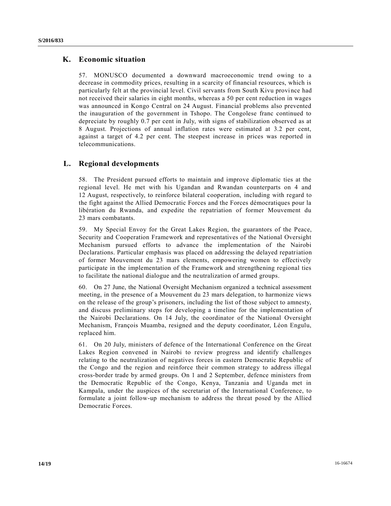### **K. Economic situation**

57. MONUSCO documented a downward macroeconomic trend owing to a decrease in commodity prices, resulting in a scarcity of financial resources, which is particularly felt at the provincial level. Civil servants from South Kivu province had not received their salaries in eight months, whereas a 50 per cent reduction in wages was announced in Kongo Central on 24 August. Financial problems also prevented the inauguration of the government in Tshopo. The Congolese franc continued to depreciate by roughly 0.7 per cent in July, with signs of stabilization observed as at 8 August. Projections of annual inflation rates were estimated at 3.2 per cent, against a target of 4.2 per cent. The steepest increase in prices was reported in telecommunications.

#### **L. Regional developments**

58. The President pursued efforts to maintain and improve diplomatic ties at the regional level. He met with his Ugandan and Rwandan counterparts on 4 and 12 August, respectively, to reinforce bilateral cooperation, including with regard to the fight against the Allied Democratic Forces and the Forces démocratiques pour la libération du Rwanda, and expedite the repatriation of former Mouvement du 23 mars combatants.

59. My Special Envoy for the Great Lakes Region, the guarantors of the Peace, Security and Cooperation Framework and representatives of the National Oversight Mechanism pursued efforts to advance the implementation of the Nairobi Declarations. Particular emphasis was placed on addressing the delayed repatriation of former Mouvement du 23 mars elements, empowering women to effectively participate in the implementation of the Framework and strengthening regional ties to facilitate the national dialogue and the neutralization of armed groups.

60. On 27 June, the National Oversight Mechanism organized a technical assessment meeting, in the presence of a Mouvement du 23 mars delegation, to harmonize views on the release of the group's prisoners, including the list of those subject to amnesty, and discuss preliminary steps for developing a timeline for the implementation of the Nairobi Declarations. On 14 July, the coordinator of the National Oversight Mechanism, François Muamba, resigned and the deputy coordinator, Léon Engulu, replaced him.

61. On 20 July, ministers of defence of the International Conference on the Great Lakes Region convened in Nairobi to review progress and identify challenges relating to the neutralization of negatives forces in eastern Democratic Republic of the Congo and the region and reinforce their common strategy to address illegal cross-border trade by armed groups. On 1 and 2 September, defence ministers from the Democratic Republic of the Congo, Kenya, Tanzania and Uganda met in Kampala, under the auspices of the secretariat of the International Conference, to formulate a joint follow-up mechanism to address the threat posed by the Allied Democratic Forces.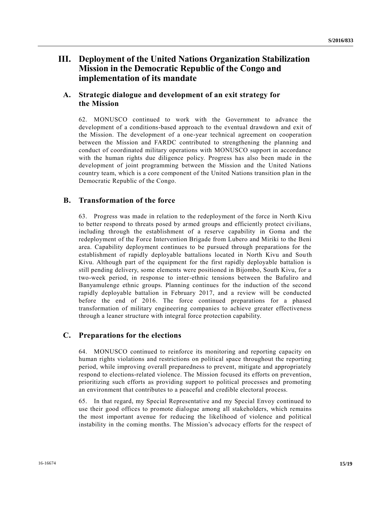# **III. Deployment of the United Nations Organization Stabilization Mission in the Democratic Republic of the Congo and implementation of its mandate**

## **A. Strategic dialogue and development of an exit strategy for the Mission**

62. MONUSCO continued to work with the Government to advance the development of a conditions-based approach to the eventual drawdown and exit of the Mission. The development of a one-year technical agreement on cooperation between the Mission and FARDC contributed to strengthening the planning and conduct of coordinated military operations with MONUSCO support in accordance with the human rights due diligence policy. Progress has also been made in the development of joint programming between the Mission and the United Nations country team, which is a core component of the United Nations transition plan in the Democratic Republic of the Congo.

### **B. Transformation of the force**

63. Progress was made in relation to the redeployment of the force in North Kivu to better respond to threats posed by armed groups and efficiently protect civilians, including through the establishment of a reserve capability in Goma and the redeployment of the Force Intervention Brigade from Lubero and Miriki to the Beni area. Capability deployment continues to be pursued through preparations for the establishment of rapidly deployable battalions located in North Kivu and South Kivu. Although part of the equipment for the first rapidly deployable battalion is still pending delivery, some elements were positioned in Bijombo, South Kivu, for a two-week period, in response to inter-ethnic tensions between the Bafuliro and Banyamulenge ethnic groups. Planning continues for the induction of the second rapidly deployable battalion in February 2017, and a review will be conducted before the end of 2016. The force continued preparations for a phased transformation of military engineering companies to achieve greater effectiveness through a leaner structure with integral force protection capability.

### **C. Preparations for the elections**

64. MONUSCO continued to reinforce its monitoring and reporting capacity on human rights violations and restrictions on political space throughout the reporting period, while improving overall preparedness to prevent, mitigate and appropriately respond to elections-related violence. The Mission focused its efforts on prevention, prioritizing such efforts as providing support to political processes and promoting an environment that contributes to a peaceful and credible electoral process.

65. In that regard, my Special Representative and my Special Envoy continued to use their good offices to promote dialogue among all stakeholders, which remains the most important avenue for reducing the likelihood of violence and political instability in the coming months. The Mission's advocacy efforts for the respect of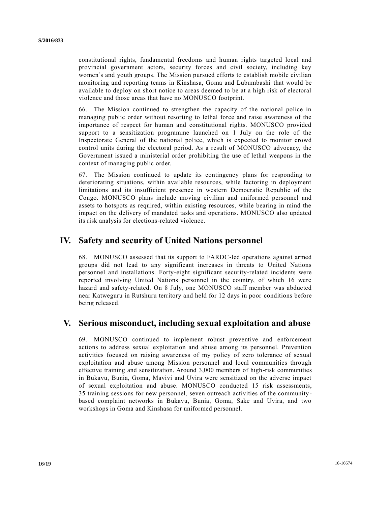constitutional rights, fundamental freedoms and human rights targeted local and provincial government actors, security forces and civil society, including key women's and youth groups. The Mission pursued efforts to establish mobile civilian monitoring and reporting teams in Kinshasa, Goma and Lubumbashi that would be available to deploy on short notice to areas deemed to be at a high risk of electoral violence and those areas that have no MONUSCO footprint.

66. The Mission continued to strengthen the capacity of the national police in managing public order without resorting to lethal force and raise awareness of the importance of respect for human and constitutional rights. MONUSCO provided support to a sensitization programme launched on 1 July on the role of the Inspectorate General of the national police, which is expected to monitor crowd control units during the electoral period. As a result of MONUSCO advocacy, the Government issued a ministerial order prohibiting the use of lethal weapons in the context of managing public order.

67. The Mission continued to update its contingency plans for responding to deteriorating situations, within available resources, while factoring in deployment limitations and its insufficient presence in western Democratic Republic of the Congo. MONUSCO plans include moving civilian and uniformed personnel and assets to hotspots as required, within existing resources, while bearing in mind the impact on the delivery of mandated tasks and operations. MONUSCO also updated its risk analysis for elections-related violence.

## **IV. Safety and security of United Nations personnel**

68. MONUSCO assessed that its support to FARDC-led operations against armed groups did not lead to any significant increases in threats to United Nations personnel and installations. Forty-eight significant security-related incidents were reported involving United Nations personnel in the country, of which 16 were hazard and safety-related. On 8 July, one MONUSCO staff member was abducted near Katweguru in Rutshuru territory and held for 12 days in poor conditions before being released.

# **V. Serious misconduct, including sexual exploitation and abuse**

69. MONUSCO continued to implement robust preventive and enforcement actions to address sexual exploitation and abuse among its personnel. Prevention activities focused on raising awareness of my policy of zero tolerance of sexual exploitation and abuse among Mission personnel and local communities through effective training and sensitization. Around 3,000 members of high-risk communities in Bukavu, Bunia, Goma, Mavivi and Uvira were sensitized on the adverse impact of sexual exploitation and abuse. MONUSCO conducted 15 risk assessments, 35 training sessions for new personnel, seven outreach activities of the community based complaint networks in Bukavu, Bunia, Goma, Sake and Uvira, and two workshops in Goma and Kinshasa for uniformed personnel.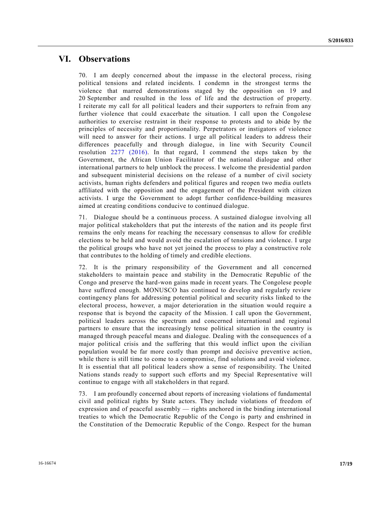## **VI. Observations**

70. I am deeply concerned about the impasse in the electoral process, rising political tensions and related incidents. I condemn in the strongest terms the violence that marred demonstrations staged by the opposition on 19 and 20 September and resulted in the loss of life and the destruction of property. I reiterate my call for all political leaders and their supporters to refrain from any further violence that could exacerbate the situation. I call upon the Congolese authorities to exercise restraint in their response to protests and to abide by the principles of necessity and proportionality. Perpetrators or instigators of violence will need to answer for their actions. I urge all political leaders to address their differences peacefully and through dialogue, in line with Security Council resolution [2277 \(2016\).](http://undocs.org/S/RES/2277(2016)) In that regard, I commend the steps taken by the Government, the African Union Facilitator of the national dialogue and other international partners to help unblock the process. I welcome the presidential pardon and subsequent ministerial decisions on the release of a number of civil society activists, human rights defenders and political figures and reopen two media outlets affiliated with the opposition and the engagement of the President with citizen activists. I urge the Government to adopt further confidence-building measures aimed at creating conditions conducive to continued dialogue.

71. Dialogue should be a continuous process. A sustained dialogue involving all major political stakeholders that put the interests of the nation and its people first remains the only means for reaching the necessary consensus to allow for credible elections to be held and would avoid the escalation of tensions and violence. I urge the political groups who have not yet joined the process to play a constructive role that contributes to the holding of timely and credible elections.

72. It is the primary responsibility of the Government and all concerned stakeholders to maintain peace and stability in the Democratic Republic of the Congo and preserve the hard-won gains made in recent years. The Congolese people have suffered enough. MONUSCO has continued to develop and regularly review contingency plans for addressing potential political and security risks linked to the electoral process, however, a major deterioration in the situation would require a response that is beyond the capacity of the Mission. I call upon the Government, political leaders across the spectrum and concerned international and regional partners to ensure that the increasingly tense political situation in the country is managed through peaceful means and dialogue. Dealing with the consequences of a major political crisis and the suffering that this would inflict upon the civilian population would be far more costly than prompt and decisive preventive ac tion, while there is still time to come to a compromise, find solutions and avoid violence. It is essential that all political leaders show a sense of responsibility. The United Nations stands ready to support such efforts and my Special Representative will continue to engage with all stakeholders in that regard.

73. I am profoundly concerned about reports of increasing violations of fundamental civil and political rights by State actors. They include violations of freedom of expression and of peaceful assembly — rights anchored in the binding international treaties to which the Democratic Republic of the Congo is party and enshrined in the Constitution of the Democratic Republic of the Congo. Respect for the human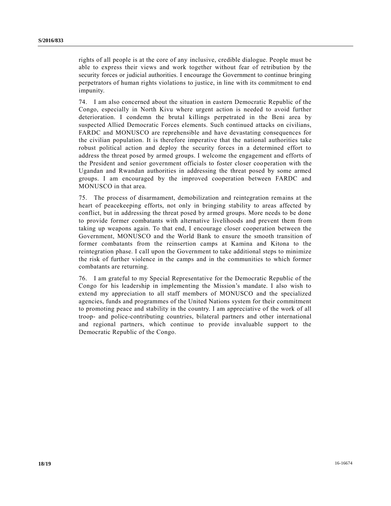rights of all people is at the core of any inclusive, credible dialogue. People must be able to express their views and work together without fear of retribution by the security forces or judicial authorities. I encourage the Government to continue bringing perpetrators of human rights violations to justice, in line with its commitment to end impunity.

74. I am also concerned about the situation in eastern Democratic Republic of the Congo, especially in North Kivu where urgent action is needed to avoid further deterioration. I condemn the brutal killings perpetrated in the Beni area by suspected Allied Democratic Forces elements. Such continued attacks on civilians, FARDC and MONUSCO are reprehensible and have devastating consequences for the civilian population. It is therefore imperative that the national authorities take robust political action and deploy the security forces in a determined effort to address the threat posed by armed groups. I welcome the engagement and efforts of the President and senior government officials to foster closer cooperation with the Ugandan and Rwandan authorities in addressing the threat posed by some armed groups. I am encouraged by the improved cooperation between FARDC and MONUSCO in that area.

75. The process of disarmament, demobilization and reintegration remains at the heart of peacekeeping efforts, not only in bringing stability to areas affected by conflict, but in addressing the threat posed by armed groups. More needs to be done to provide former combatants with alternative livelihoods and prevent them from taking up weapons again. To that end, I encourage closer cooperation between the Government, MONUSCO and the World Bank to ensure the smooth transition of former combatants from the reinsertion camps at Kamina and Kitona to the reintegration phase. I call upon the Government to take additional steps to minimize the risk of further violence in the camps and in the communities to which former combatants are returning.

76. I am grateful to my Special Representative for the Democratic Republic of the Congo for his leadership in implementing the Mission's mandate. I also wish to extend my appreciation to all staff members of MONUSCO and the specialized agencies, funds and programmes of the United Nations system for their commitment to promoting peace and stability in the country. I am appreciative of the work of all troop- and police-contributing countries, bilateral partners and other international and regional partners, which continue to provide invaluable support to the Democratic Republic of the Congo.